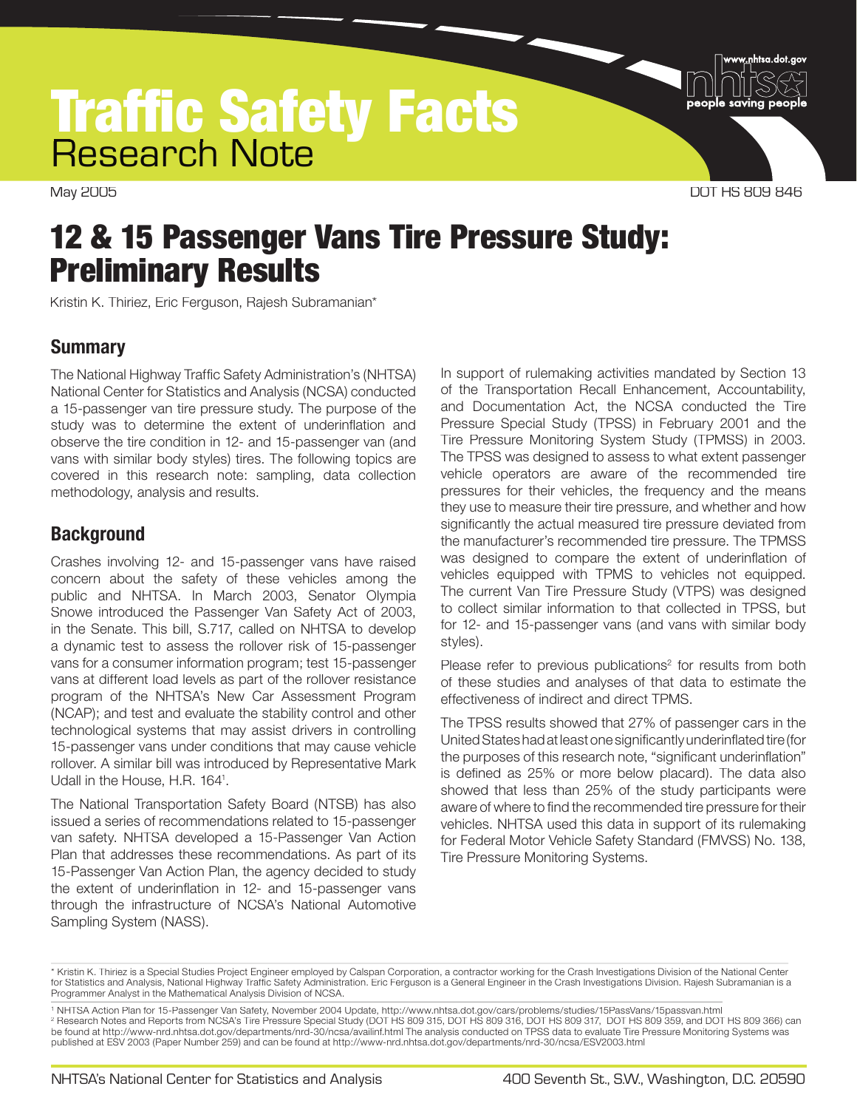## **Traffic Safety Facts** Research Note **raffic Safety Fact**

May 2005 DOT HS 809 846

w.nhtsa.dot.aov

# 12 & 15 Passenger Vans Tire Pressure Study: Preliminary Results

Kristin K. Thiriez, Eric Ferguson, Rajesh Subramanian\*

### **Summary**

The National Highway Traffic Safety Administration's (NHTSA) National Center for Statistics and Analysis (NCSA) conducted a 15-passenger van tire pressure study. The purpose of the study was to determine the extent of underinflation and observe the tire condition in 12- and 15-passenger van (and vans with similar body styles) tires. The following topics are covered in this research note: sampling, data collection methodology, analysis and results.

### **Background**

Crashes involving 12- and 15-passenger vans have raised concern about the safety of these vehicles among the public and NHTSA. In March 2003, Senator Olympia Snowe introduced the Passenger Van Safety Act of 2003, in the Senate. This bill, S.717, called on NHTSA to develop a dynamic test to assess the rollover risk of 15-passenger vans for a consumer information program; test 15-passenger vans at different load levels as part of the rollover resistance program of the NHTSA's New Car Assessment Program (NCAP); and test and evaluate the stability control and other technological systems that may assist drivers in controlling 15-passenger vans under conditions that may cause vehicle rollover. A similar bill was introduced by Representative Mark Udall in the House, H.R. 164<sup>1</sup>.

The National Transportation Safety Board (NTSB) has also issued a series of recommendations related to 15-passenger van safety. NHTSA developed a 15-Passenger Van Action Plan that addresses these recommendations. As part of its 15-Passenger Van Action Plan, the agency decided to study the extent of underinflation in 12- and 15-passenger vans through the infrastructure of NCSA's National Automotive Sampling System (NASS).

In support of rulemaking activities mandated by Section 13 of the Transportation Recall Enhancement, Accountability, and Documentation Act, the NCSA conducted the Tire Pressure Special Study (TPSS) in February 2001 and the Tire Pressure Monitoring System Study (TPMSS) in 2003. The TPSS was designed to assess to what extent passenger vehicle operators are aware of the recommended tire pressures for their vehicles, the frequency and the means they use to measure their tire pressure, and whether and how significantly the actual measured tire pressure deviated from the manufacturer's recommended tire pressure. The TPMSS was designed to compare the extent of underinflation of vehicles equipped with TPMS to vehicles not equipped. The current Van Tire Pressure Study (VTPS) was designed to collect similar information to that collected in TPSS, but for 12- and 15-passenger vans (and vans with similar body styles).

Please refer to previous publications<sup>2</sup> for results from both of these studies and analyses of that data to estimate the effectiveness of indirect and direct TPMS.

The TPSS results showed that 27% of passenger cars in the United States had at least one significantly underinflated tire (for the purposes of this research note, "significant underinflation" is defined as 25% or more below placard). The data also showed that less than 25% of the study participants were aware of where to find the recommended tire pressure for their vehicles. NHTSA used this data in support of its rulemaking for Federal Motor Vehicle Safety Standard (FMVSS) No. 138, Tire Pressure Monitoring Systems.

<sup>\*</sup> Kristin K. Thiriez is a Special Studies Project Engineer employed by Calspan Corporation, a contractor working for the Crash Investigations Division of the National Center for Statistics and Analysis, National Highway Traffic Safety Administration. Eric Ferguson is a General Engineer in the Crash Investigations Division. Rajesh Subramanian is a Programmer Analyst in the Mathematical Analysis Division of NCSA.

<sup>1</sup> NHTSA Action Plan for 15-Passenger Van Safety, November 2004 Update, http://www.nhtsa.dot.gov/cars/problems/studies/15PassVans/15passvan.html<br><sup>2</sup> Research Notes and Reports from NCSA's Tire Pressure Special Study (DOT HS be found at http://www-nrd.nhtsa.dot.gov/departments/nrd-30/ncsa/availinf.html The analysis conducted on TPSS data to evaluate Tire Pressure Monitoring Systems was published at ESV 2003 (Paper Number 259) and can be found at http://www-nrd.nhtsa.dot.gov/departments/nrd-30/ncsa/ESV2003.html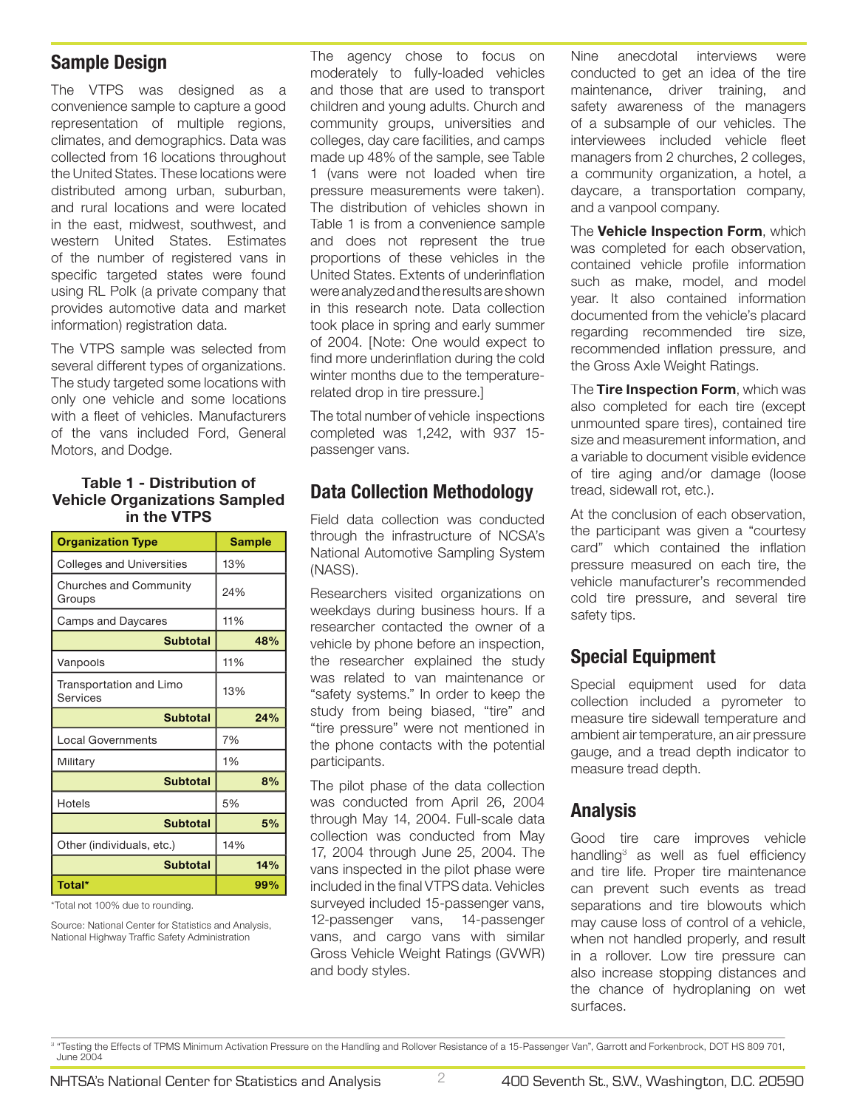#### **Sample Design**

The VTPS was designed as a convenience sample to capture a good representation of multiple regions, climates, and demographics. Data was collected from 16 locations throughout the United States. These locations were distributed among urban, suburban, and rural locations and were located in the east, midwest, southwest, and western United States. Estimates of the number of registered vans in specific targeted states were found using RL Polk (a private company that provides automotive data and market information) registration data.

The VTPS sample was selected from several different types of organizations. The study targeted some locations with only one vehicle and some locations with a fleet of vehicles. Manufacturers of the vans included Ford, General Motors, and Dodge.

#### **Table 1 - Distribution of Vehicle Organizations Sampled in the VTPS**

| <b>Organization Type</b>            | <b>Sample</b> |
|-------------------------------------|---------------|
| <b>Colleges and Universities</b>    | 13%           |
| Churches and Community<br>Groups    | 24%           |
| Camps and Daycares                  | 11%           |
| <b>Subtotal</b>                     | 48%           |
| Vanpools                            | 11%           |
| Transportation and Limo<br>Services | 13%           |
| <b>Subtotal</b>                     | 24%           |
| <b>Local Governments</b>            | 7%            |
| Military                            | 1%            |
| <b>Subtotal</b>                     | 8%            |
| Hotels                              | 5%            |
| <b>Subtotal</b>                     | 5%            |
| Other (individuals, etc.)           | 14%           |
| <b>Subtotal</b>                     | 14%           |
| Total*                              | 99%           |

\*Total not 100% due to rounding.

Source: National Center for Statistics and Analysis, National Highway Traffic Safety Administration

The agency chose to focus on moderately to fully-loaded vehicles and those that are used to transport children and young adults. Church and community groups, universities and colleges, day care facilities, and camps made up 48% of the sample, see Table 1 (vans were not loaded when tire pressure measurements were taken). The distribution of vehicles shown in Table 1 is from a convenience sample and does not represent the true proportions of these vehicles in the United States. Extents of underinflation were analyzed and the results are shown in this research note. Data collection took place in spring and early summer of 2004. [Note: One would expect to find more underinflation during the cold winter months due to the temperaturerelated drop in tire pressure.]

The total number of vehicle inspections completed was 1,242, with 937 15 passenger vans.

### **Data Collection Methodology**

Field data collection was conducted through the infrastructure of NCSA's National Automotive Sampling System (NASS).

Researchers visited organizations on weekdays during business hours. If a researcher contacted the owner of a vehicle by phone before an inspection, the researcher explained the study was related to van maintenance or "safety systems." In order to keep the study from being biased, "tire" and "tire pressure" were not mentioned in the phone contacts with the potential participants.

The pilot phase of the data collection was conducted from April 26, 2004 through May 14, 2004. Full-scale data collection was conducted from May 17, 2004 through June 25, 2004. The vans inspected in the pilot phase were included in the final VTPS data. Vehicles surveyed included 15-passenger vans, 12-passenger vans, 14-passenger vans, and cargo vans with similar Gross Vehicle Weight Ratings (GVWR) and body styles.

Nine anecdotal interviews were conducted to get an idea of the tire maintenance, driver training, and safety awareness of the managers of a subsample of our vehicles. The interviewees included vehicle fleet managers from 2 churches, 2 colleges, a community organization, a hotel, a daycare, a transportation company, and a vanpool company.

The **Vehicle Inspection Form**, which was completed for each observation, contained vehicle profile information such as make, model, and model year. It also contained information documented from the vehicle's placard regarding recommended tire size, recommended inflation pressure, and the Gross Axle Weight Ratings.

The **Tire Inspection Form**, which was also completed for each tire (except unmounted spare tires), contained tire size and measurement information, and a variable to document visible evidence of tire aging and/or damage (loose tread, sidewall rot, etc.).

At the conclusion of each observation, the participant was given a "courtesy card" which contained the inflation pressure measured on each tire, the vehicle manufacturer's recommended cold tire pressure, and several tire safety tips.

### **Special Equipment**

Special equipment used for data collection included a pyrometer to measure tire sidewall temperature and ambient air temperature, an air pressure gauge, and a tread depth indicator to measure tread depth.

### **Analysis**

Good tire care improves vehicle handling<sup>3</sup> as well as fuel efficiency and tire life. Proper tire maintenance can prevent such events as tread separations and tire blowouts which may cause loss of control of a vehicle, when not handled properly, and result in a rollover. Low tire pressure can also increase stopping distances and the chance of hydroplaning on wet surfaces.

<sup>3</sup> "Testing the Effects of TPMS Minimum Activation Pressure on the Handling and Rollover Resistance of a 15-Passenger Van", Garrott and Forkenbrock, DOT HS 809 701, June 2004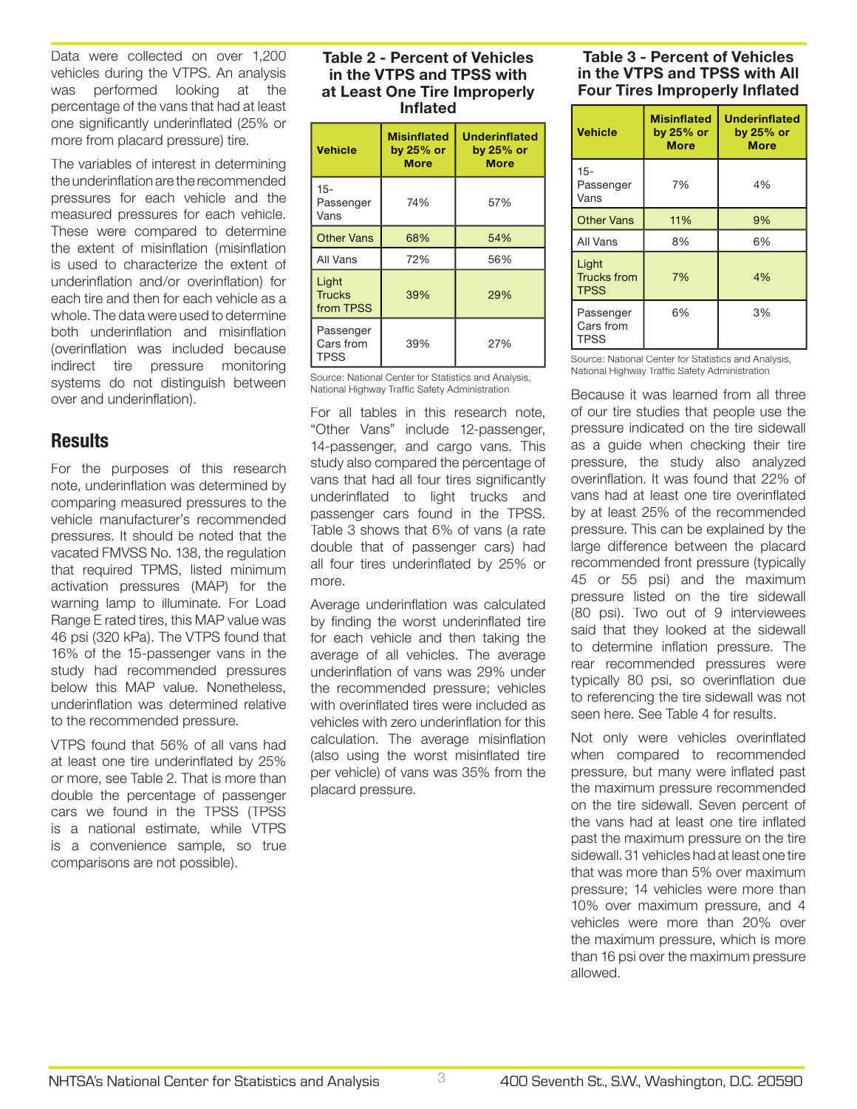Data were collected on over 1,200 vehicles during the VTPS. An analysis was performed looking at the percentage of the vans that had at least one significantly underinflated (25% or more from placard pressure) tire.

The variables of interest in determining the underinflation are the recommended pressures for each vehicle and the measured pressures for each vehicle. These were compared to determine the extent of misinflation (misinflation is used to characterize the extent of underinflation and/or overinflation) for each tire and then for each vehicle as a whole. The data were used to determine both underinflation and misinflation (overinflation was included because indirect tire pressure monitoring systems do not distinguish between over and underinflation).

#### **Results**

For the purposes of this research note, underinflation was determined by comparing measured pressures to the vehicle manufacturer's recommended pressures. It should be noted that the vacated FMVSS No. 138, the regulation that required TPMS, listed minimum activation pressures (MAP) for the warning lamp to illuminate. For Load Range E rated tires, this MAP value was 46 psi (320 kPa). The VTPS found that 16% of the 15-passenger vans in the study had recommended pressures below this MAP value. Nonetheless, underinflation was determined relative to the recommended pressure.

VTPS found that 56% of all vans had at least one tire underinflated by 25% or more, see Table 2. That is more than double the percentage of passenger cars we found in the TPSS (TPSS is a national estimate, while VTPS is a convenience sample, so true comparisons are not possible).

#### **Table 2 - Percent of Vehicles in the VTPS and TPSS with at Least One Tire Improperly Infl ated**

| <b>Vehicle</b>                        | <b>Misinflated</b><br>by 25% or<br><b>More</b> | <b>Underinflated</b><br>by 25% or<br><b>More</b> |
|---------------------------------------|------------------------------------------------|--------------------------------------------------|
| $15 -$<br>Passenger<br>Vans           | 74%                                            | 57%                                              |
| <b>Other Vans</b>                     | 68%                                            | 54%                                              |
| All Vans                              | 72%                                            | 56%                                              |
| Light<br><b>Trucks</b><br>from TPSS   | 39%                                            | 29%                                              |
| Passenger<br>Cars from<br><b>TPSS</b> | 39%                                            | 27%                                              |

Source: National Center for Statistics and Analysis, National Highway Traffic Safety Administration

For all tables in this research note, "Other Vans" include 12-passenger, 14-passenger, and cargo vans. This study also compared the percentage of vans that had all four tires significantly underinflated to light trucks and passenger cars found in the TPSS. Table 3 shows that 6% of vans (a rate double that of passenger cars) had all four tires underinflated by 25% or more.

Average underinflation was calculated by finding the worst underinflated tire for each vehicle and then taking the average of all vehicles. The average underinflation of vans was 29% under the recommended pressure; vehicles with overinflated tires were included as vehicles with zero underinflation for this calculation. The average misinflation (also using the worst misinflated tire per vehicle) of vans was 35% from the placard pressure.

#### **Table 3 - Percent of Vehicles in the VTPS and TPSS with All Four Tires Improperly Inflated**

| Vehicle                                    | <b>Misinflated</b><br>by 25% or<br>More | <b>Underinflated</b><br>by 25% or<br>More |
|--------------------------------------------|-----------------------------------------|-------------------------------------------|
| $15 -$<br>Passenger<br>Vans                | 7%                                      | 4%                                        |
| <b>Other Vans</b>                          | 11%                                     | 9%                                        |
| All Vans                                   | 8%                                      | 6%                                        |
| Light<br><b>Trucks from</b><br><b>TPSS</b> | 7%                                      | 4%                                        |
| Passenger<br>Cars from<br>TPSS             | 6%                                      | 3%                                        |

Source: National Center for Statistics and Analysis, National Highway Traffic Safety Administration

Because it was learned from all three of our tire studies that people use the pressure indicated on the tire sidewall as a guide when checking their tire pressure, the study also analyzed overinflation. It was found that 22% of vans had at least one tire overinflated by at least 25% of the recommended pressure. This can be explained by the large difference between the placard recommended front pressure (typically 45 or 55 psi) and the maximum pressure listed on the tire sidewall (80 psi). Two out of 9 interviewees said that they looked at the sidewall to determine inflation pressure. The rear recommended pressures were typically 80 psi, so overinflation due to referencing the tire sidewall was not seen here. See Table 4 for results.

Not only were vehicles overinflated when compared to recommended pressure, but many were inflated past the maximum pressure recommended on the tire sidewall. Seven percent of the vans had at least one tire inflated past the maximum pressure on the tire sidewall. 31 vehicles had at least one tire that was more than 5% over maximum pressure; 14 vehicles were more than 10% over maximum pressure, and 4 vehicles were more than 20% over the maximum pressure, which is more than 16 psi over the maximum pressure allowed.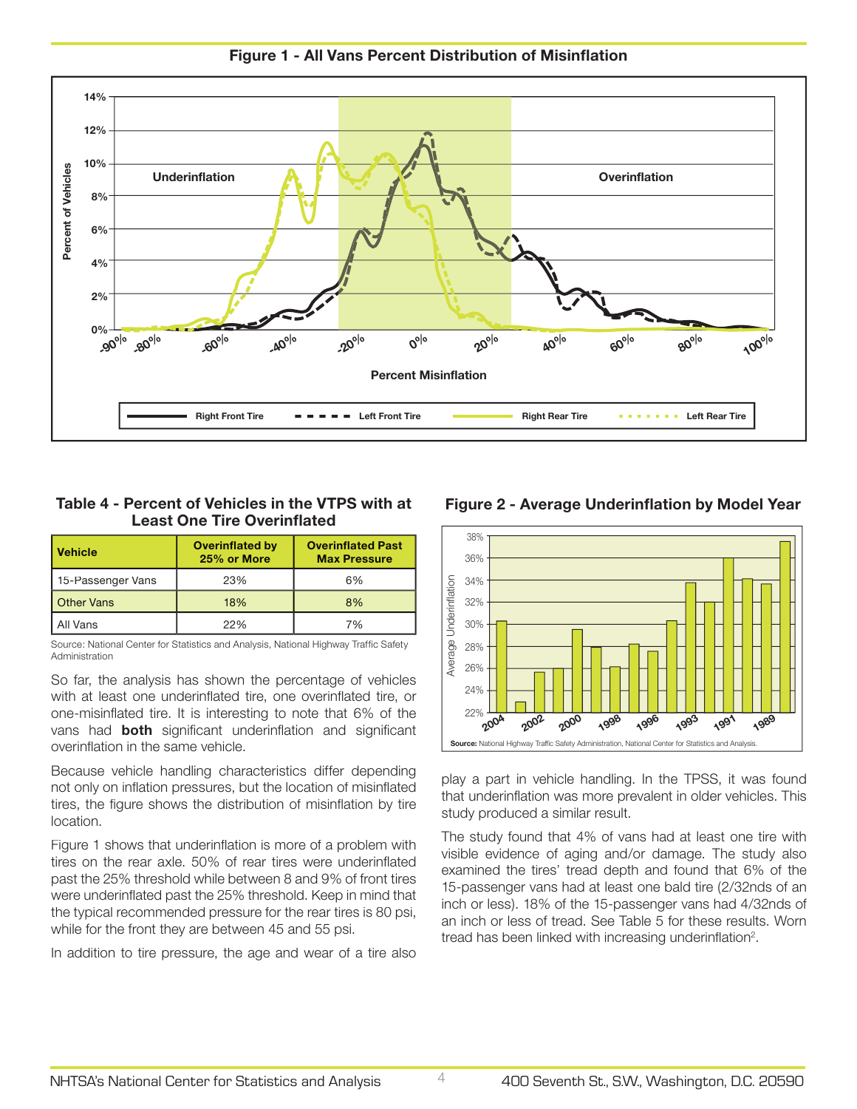

#### **Figure 1 - All Vans Percent Distribution of Misinflation**

#### **Table 4 - Percent of Vehicles in the VTPS with at Least One Tire Overinflated**

| <b>Vehicle</b>    | <b>Overinflated by</b><br>25% or More | <b>Overinflated Past</b><br><b>Max Pressure</b> |
|-------------------|---------------------------------------|-------------------------------------------------|
| 15-Passenger Vans | 23%                                   | 6%                                              |
| <b>Other Vans</b> | 18%                                   | 8%                                              |
| All Vans          | 22%                                   | 7%                                              |

Source: National Center for Statistics and Analysis, National Highway Traffic Safety Administration

So far, the analysis has shown the percentage of vehicles with at least one underinflated tire, one overinflated tire, or one-misinflated tire. It is interesting to note that 6% of the vans had **both** significant underinflation and significant overinflation in the same vehicle.

Because vehicle handling characteristics differ depending not only on inflation pressures, but the location of misinflated tires, the figure shows the distribution of misinflation by tire location.

Figure 1 shows that underinflation is more of a problem with tires on the rear axle. 50% of rear tires were underinflated past the 25% threshold while between 8 and 9% of front tires were underinflated past the 25% threshold. Keep in mind that the typical recommended pressure for the rear tires is 80 psi, while for the front they are between 45 and 55 psi.

In addition to tire pressure, the age and wear of a tire also

28% 30% 32% 34% 36% 38% **2004** Source: National Highway Traffic Safety Administration, National Center for Statistics and Analysis.<br>
Source: National Highway Traffic Safety Administration, National Center for Statistics and Analysis. 22% 24% 26% **2002 2000 1998 1996 1993 1991 1989**

**Figure 2 - Average Underinflation by Model Year** 

play a part in vehicle handling. In the TPSS, it was found that underinflation was more prevalent in older vehicles. This study produced a similar result.

The study found that 4% of vans had at least one tire with visible evidence of aging and/or damage. The study also examined the tires' tread depth and found that 6% of the 15-passenger vans had at least one bald tire (2/32nds of an inch or less). 18% of the 15-passenger vans had 4/32nds of an inch or less of tread. See Table 5 for these results. Worn tread has been linked with increasing underinflation<sup>2</sup>.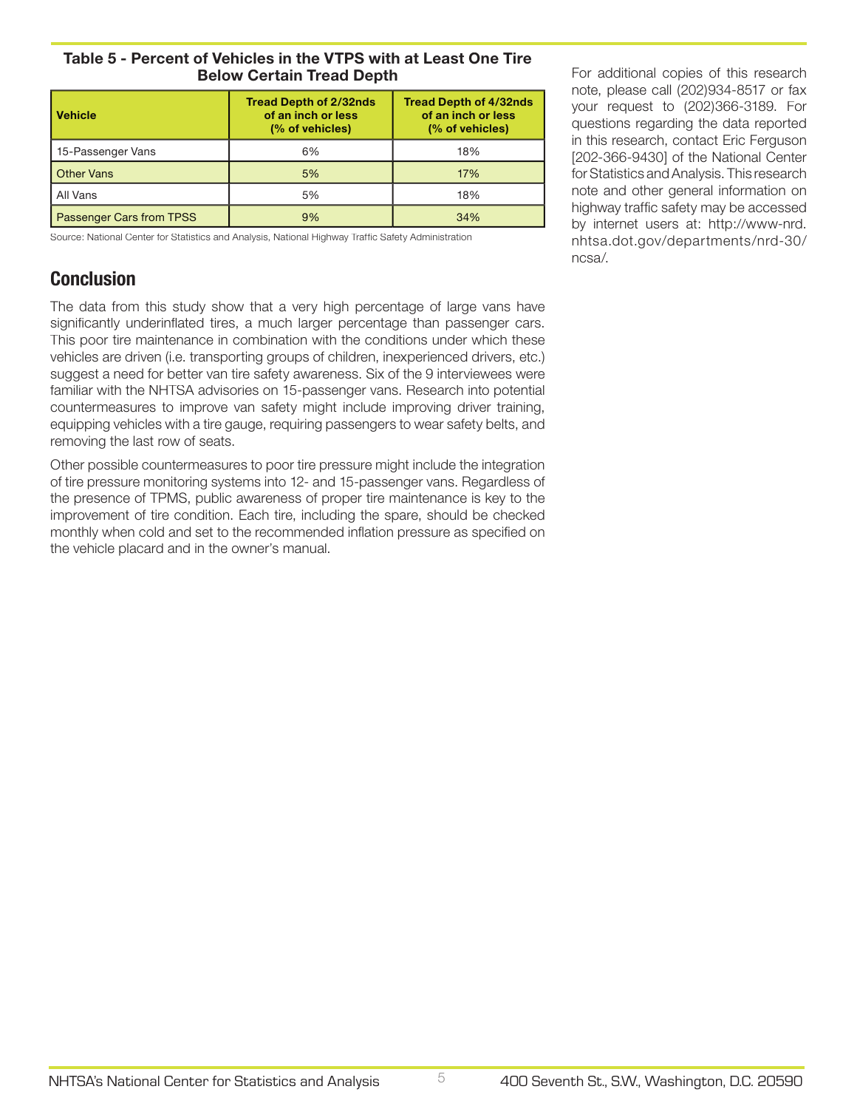#### **Table 5 - Percent of Vehicles in the VTPS with at Least One Tire Below Certain Tread Depth**

| <b>Vehicle</b>           | <b>Tread Depth of 2/32nds</b><br>of an inch or less<br>(% of vehicles) | <b>Tread Depth of 4/32nds</b><br>of an inch or less<br>(% of vehicles) |
|--------------------------|------------------------------------------------------------------------|------------------------------------------------------------------------|
| 15-Passenger Vans        | 6%                                                                     | 18%                                                                    |
| <b>Other Vans</b>        | 5%                                                                     | 17%                                                                    |
| All Vans                 | 5%                                                                     | 18%                                                                    |
| Passenger Cars from TPSS | 9%                                                                     | 34%                                                                    |

Source: National Center for Statistics and Analysis, National Highway Traffic Safety Administration

### **Conclusion**

The data from this study show that a very high percentage of large vans have significantly underinflated tires, a much larger percentage than passenger cars. This poor tire maintenance in combination with the conditions under which these vehicles are driven (i.e. transporting groups of children, inexperienced drivers, etc.) suggest a need for better van tire safety awareness. Six of the 9 interviewees were familiar with the NHTSA advisories on 15-passenger vans. Research into potential countermeasures to improve van safety might include improving driver training, equipping vehicles with a tire gauge, requiring passengers to wear safety belts, and removing the last row of seats.

Other possible countermeasures to poor tire pressure might include the integration of tire pressure monitoring systems into 12- and 15-passenger vans. Regardless of the presence of TPMS, public awareness of proper tire maintenance is key to the improvement of tire condition. Each tire, including the spare, should be checked monthly when cold and set to the recommended inflation pressure as specified on the vehicle placard and in the owner's manual.

For additional copies of this research note, please call (202)934-8517 or fax your request to (202)366-3189. For questions regarding the data reported in this research, contact Eric Ferguson [202-366-9430] of the National Center for Statistics and Analysis. This research note and other general information on highway traffic safety may be accessed by internet users at: http://www-nrd. nhtsa.dot.gov/departments/nrd-30/ ncsa/.